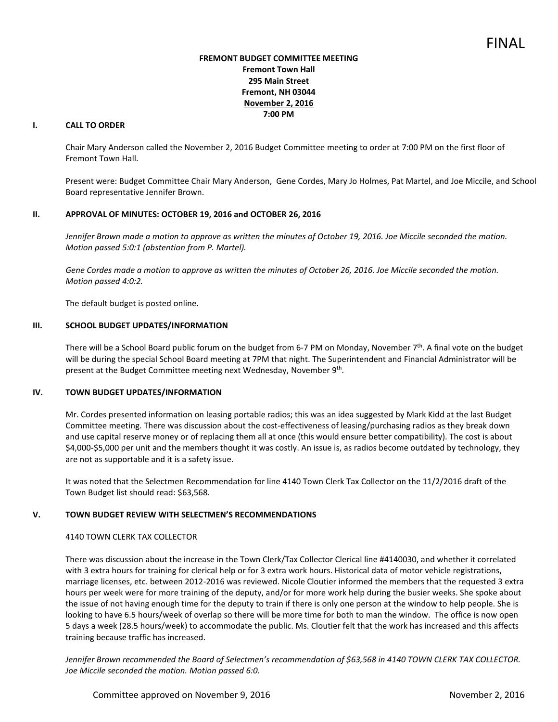## **FREMONT BUDGET COMMITTEE MEETING Fremont Town Hall 295 Main Street Fremont, NH 03044 November 2, 2016 7:00 PM**

# **I. CALL TO ORDER**

Chair Mary Anderson called the November 2, 2016 Budget Committee meeting to order at 7:00 PM on the first floor of Fremont Town Hall.

Present were: Budget Committee Chair Mary Anderson, Gene Cordes, Mary Jo Holmes, Pat Martel, and Joe Miccile, and School Board representative Jennifer Brown.

## **II. APPROVAL OF MINUTES: OCTOBER 19, 2016 and OCTOBER 26, 2016**

Jennifer Brown made a motion to approve as written the minutes of October 19, 2016. Joe Miccile seconded the motion. *Motion passed 5:0:1 (abstention from P. Martel).* 

*Gene Cordes made a motion to approve as written the minutes of October 26, 2016. Joe Miccile seconded the motion. Motion passed 4:0:2.* 

The default budget is posted online.

## **III. SCHOOL BUDGET UPDATES/INFORMATION**

There will be a School Board public forum on the budget from 6-7 PM on Monday, November  $7<sup>th</sup>$ . A final vote on the budget will be during the special School Board meeting at 7PM that night. The Superintendent and Financial Administrator will be present at the Budget Committee meeting next Wednesday, November 9<sup>th</sup>.

## **IV. TOWN BUDGET UPDATES/INFORMATION**

Mr. Cordes presented information on leasing portable radios; this was an idea suggested by Mark Kidd at the last Budget Committee meeting. There was discussion about the cost-effectiveness of leasing/purchasing radios as they break down and use capital reserve money or of replacing them all at once (this would ensure better compatibility). The cost is about \$4,000-\$5,000 per unit and the members thought it was costly. An issue is, as radios become outdated by technology, they are not as supportable and it is a safety issue.

It was noted that the Selectmen Recommendation for line 4140 Town Clerk Tax Collector on the 11/2/2016 draft of the Town Budget list should read: \$63,568.

## **V. TOWN BUDGET REVIEW WITH SELECTMEN'S RECOMMENDATIONS**

## 4140 TOWN CLERK TAX COLLECTOR

There was discussion about the increase in the Town Clerk/Tax Collector Clerical line #4140030, and whether it correlated with 3 extra hours for training for clerical help or for 3 extra work hours. Historical data of motor vehicle registrations, marriage licenses, etc. between 2012-2016 was reviewed. Nicole Cloutier informed the members that the requested 3 extra hours per week were for more training of the deputy, and/or for more work help during the busier weeks. She spoke about the issue of not having enough time for the deputy to train if there is only one person at the window to help people. She is looking to have 6.5 hours/week of overlap so there will be more time for both to man the window. The office is now open 5 days a week (28.5 hours/week) to accommodate the public. Ms. Cloutier felt that the work has increased and this affects training because traffic has increased.

*Jennifer Brown recommended the Board of Selectmen's recommendation of \$63,568 in 4140 TOWN CLERK TAX COLLECTOR. Joe Miccile seconded the motion. Motion passed 6:0.*